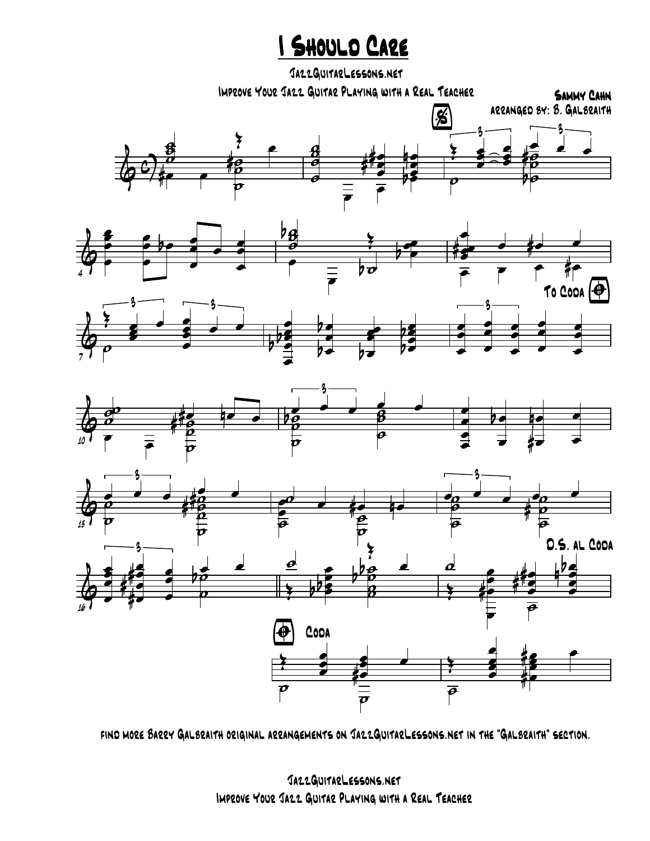## I Should Care

 $\overline{\mathbf{\bm{\phi}}^{\mathbf{c}}}$ g<br>5  $\frac{3}{6}$   $\frac{1}{6}$  $\frac{\partial}{\partial}$ ˙  $\frac{\partial}{\partial}$  =  $rac{2}{x}$  e 8 **ğ**<br>O  $\bar{\vec{\theta}}$ œ e<br>e œ #  $\frac{4}{4}$   $\frac{4}{4}$   $\frac{4}{4}$ œ e<br>S n œ œ **be** %  $\frac{2}{x}$ z<br>E œ e<br>S **z**  $\frac{e}{\theta}$   $\frac{e}{\theta}$   $\frac{e}{\theta}$ 3  $-$  3  $\overline{\rho}$ e<br>B  $\overline{\mathcal{C}}$  $\frac{1}{\theta}$ # & œœ P<br>P œ œ œ œ  $b$ e œ  $\overline{\phantom{a}}$ œ œ œ œ  $\frac{\partial}{\partial \theta}$ b  $\overline{\overline{\overline{b}}}$ œ œ  $\frac{2}{x}$ œ œœ **S**  $\frac{1}{4}$  e  $\frac{1}{4}$  e  $\frac{1}{4}$ œ œ œ #œ &  $\frac{2}{\sqrt{2}}$  $\frac{1}{\epsilon}$ e<br>S ĕ œ  $\overrightarrow{e}$  $3 - 3$  $\overline{\rho}$ œ e<br>e e<br>E œ b b œ œ  $\overline{p}$  $\frac{b}{c}$ œ  $\overline{p}$ œœ z<br>2 pe<br>Pe b To Coda  $\bigoplus$ œ œ œ œ œ œ œ œ œ œ œ œ œ œ œ  $\boldsymbol{\frac{2}{5}}$ & 10  $\frac{\partial}{\partial t}$  $\frac{\partial^2}{\partial x^2}$  $\boldsymbol{\beta}$ **i**<br>p  $\frac{\sigma}{\sigma}$  = œ  $\frac{1}{10}$  =  $\frac{1}{10}$  =  $\frac{1}{10}$  $\frac{1}{2}$   $\frac{1}{2}$   $\frac{1}{2}$   $\frac{1}{2}$  $\boldsymbol{\zeta}$  $\frac{1}{2}$   $\frac{1}{2}$   $\frac{1}{2}$   $\frac{1}{2}$ **i**<br>P  $\bar{\bar{\bar{\theta}}}$ œ œ œ œ œ œ b œ **#**  $\overline{\phantom{a}}$ œ & 13  $\frac{1}{2}$   $\frac{1}{2}$   $\frac{1}{2}$   $\frac{1}{2}$  $\boldsymbol{\zeta}$  $\vec{\rho}$ ˙ d<br>C  $\frac{\partial}{\partial \theta}$  $\frac{\partial}{\partial}$ **i**<br>0 #  $\frac{40}{10}$ œ <u>● ee de</u>  $\theta$   $\theta$  $\frac{\partial}{\partial}$ ˙ œ œ œ œ œ  $\boldsymbol{\frac{2}{5}}$  $\frac{1}{2}$  $\frac{\partial}{\partial \theta}$  $\frac{1}{\theta}$  $\frac{1}{\rho}$  $\frac{1}{\sqrt{2}}$ & 16 ø<br>C **i**<br>0 **s** # e b z<br>L  $\overline{\phantom{a}}$ œ œ œ **#e** # # e<br># e e œ œ  $\frac{1}{2}$  $\boldsymbol{\frac{2}{5}}$ Œ œ œ pbe Œ  $e^{\frac{1}{2}}$   $e^{\frac{1}{2}}$  $\frac{\partial}{\partial \rho}$ o<br>B b b D.S. al Coda Œ œ œ œ œ # œ e<br>A œ # # œ œ e<br>P œ b  $\frac{1}{2}$   $\frac{1}{2}$   $\frac{1}{2}$  $\overline{\boldsymbol{\theta}}$ Sammy Cahn JazzGuitarLessons.net Improve Your Jazz Guitar Playing with a Real Teacher arranged by: B. Galbraith

4

7

 $\bigoplus$  Coda  $\boldsymbol{\sigma}$ ˙  $\frac{1}{2}$ œ œ œ œ #œ œ  $\overline{\boldsymbol{\theta}}$ Œ œ e<br>g e<br>e Ž, œœ œ #œ <u>#s p</u>

find more Barry Galbraith original arrangements on JazzGuitarLessons.net in the "Galbraith" section.

JazzGuitarLessons.net Improve Your Jazz Guitar Playing with a Real Teacher